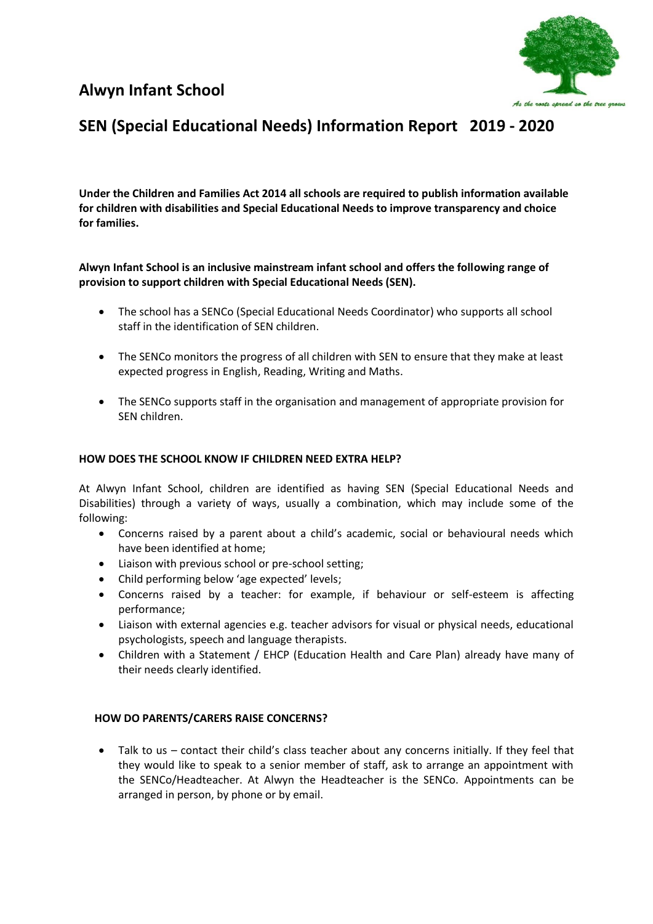**Alwyn Infant School** 



# **SEN (Special Educational Needs) Information Report 2019 - 2020**

**Under the Children and Families Act 2014 all schools are required to publish information available for children with disabilities and Special Educational Needs to improve transparency and choice for families.**

## **Alwyn Infant School is an inclusive mainstream infant school and offers the following range of provision to support children with Special Educational Needs (SEN).**

- The school has a SENCo (Special Educational Needs Coordinator) who supports all school staff in the identification of SEN children.
- The SENCo monitors the progress of all children with SEN to ensure that they make at least expected progress in English, Reading, Writing and Maths.
- The SENCo supports staff in the organisation and management of appropriate provision for SEN children.

## **HOW DOES THE SCHOOL KNOW IF CHILDREN NEED EXTRA HELP?**

At Alwyn Infant School, children are identified as having SEN (Special Educational Needs and Disabilities) through a variety of ways, usually a combination, which may include some of the following:

- Concerns raised by a parent about a child's academic, social or behavioural needs which have been identified at home;
- Liaison with previous school or pre-school setting;
- Child performing below 'age expected' levels;
- Concerns raised by a teacher: for example, if behaviour or self-esteem is affecting performance;
- Liaison with external agencies e.g. teacher advisors for visual or physical needs, educational psychologists, speech and language therapists.
- Children with a Statement / EHCP (Education Health and Care Plan) already have many of their needs clearly identified.

## **HOW DO PARENTS/CARERS RAISE CONCERNS?**

 Talk to us – contact their child's class teacher about any concerns initially. If they feel that they would like to speak to a senior member of staff, ask to arrange an appointment with the SENCo/Headteacher. At Alwyn the Headteacher is the SENCo. Appointments can be arranged in person, by phone or by email.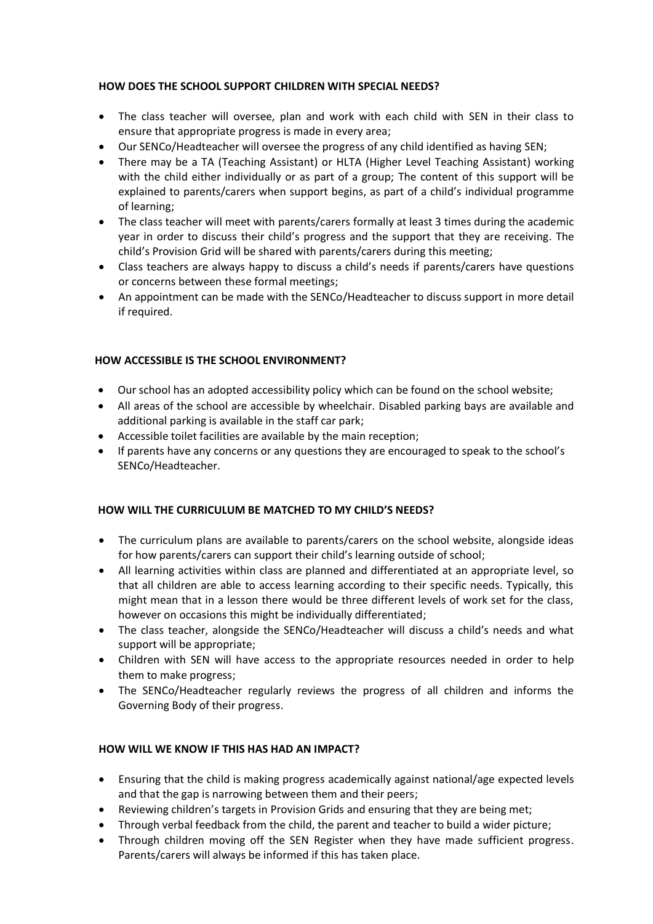## **HOW DOES THE SCHOOL SUPPORT CHILDREN WITH SPECIAL NEEDS?**

- The class teacher will oversee, plan and work with each child with SEN in their class to ensure that appropriate progress is made in every area;
- Our SENCo/Headteacher will oversee the progress of any child identified as having SEN;
- There may be a TA (Teaching Assistant) or HLTA (Higher Level Teaching Assistant) working with the child either individually or as part of a group; The content of this support will be explained to parents/carers when support begins, as part of a child's individual programme of learning;
- The class teacher will meet with parents/carers formally at least 3 times during the academic year in order to discuss their child's progress and the support that they are receiving. The child's Provision Grid will be shared with parents/carers during this meeting;
- Class teachers are always happy to discuss a child's needs if parents/carers have questions or concerns between these formal meetings;
- An appointment can be made with the SENCo/Headteacher to discuss support in more detail if required.

# **HOW ACCESSIBLE IS THE SCHOOL ENVIRONMENT?**

- Our school has an adopted accessibility policy which can be found on the school website;
- All areas of the school are accessible by wheelchair. Disabled parking bays are available and additional parking is available in the staff car park;
- Accessible toilet facilities are available by the main reception;
- If parents have any concerns or any questions they are encouraged to speak to the school's SENCo/Headteacher.

## **HOW WILL THE CURRICULUM BE MATCHED TO MY CHILD'S NEEDS?**

- The curriculum plans are available to parents/carers on the school website, alongside ideas for how parents/carers can support their child's learning outside of school;
- All learning activities within class are planned and differentiated at an appropriate level, so that all children are able to access learning according to their specific needs. Typically, this might mean that in a lesson there would be three different levels of work set for the class, however on occasions this might be individually differentiated;
- The class teacher, alongside the SENCo/Headteacher will discuss a child's needs and what support will be appropriate;
- Children with SEN will have access to the appropriate resources needed in order to help them to make progress;
- The SENCo/Headteacher regularly reviews the progress of all children and informs the Governing Body of their progress.

## **HOW WILL WE KNOW IF THIS HAS HAD AN IMPACT?**

- Ensuring that the child is making progress academically against national/age expected levels and that the gap is narrowing between them and their peers;
- Reviewing children's targets in Provision Grids and ensuring that they are being met;
- Through verbal feedback from the child, the parent and teacher to build a wider picture;
- Through children moving off the SEN Register when they have made sufficient progress. Parents/carers will always be informed if this has taken place.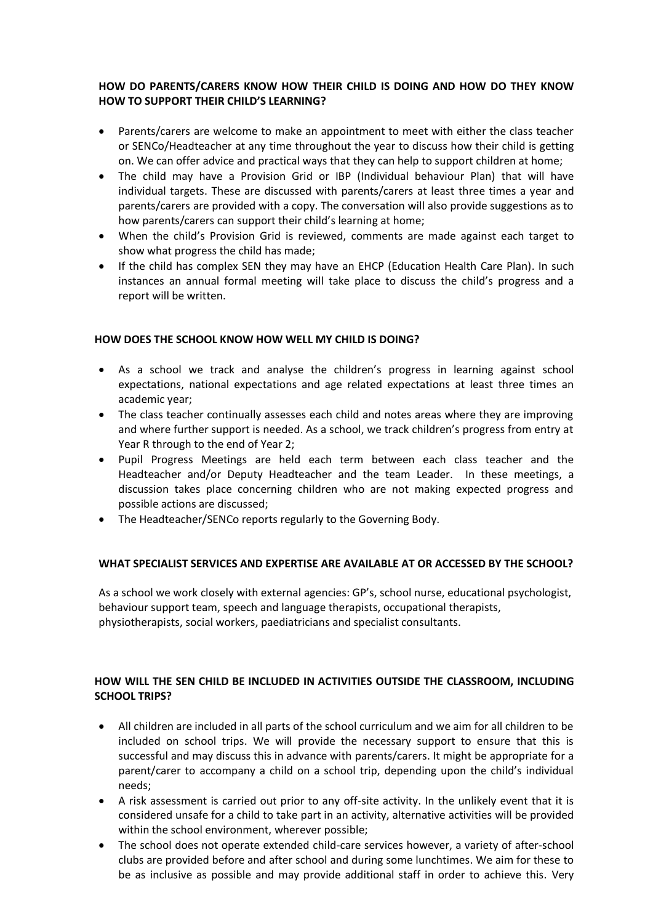# **HOW DO PARENTS/CARERS KNOW HOW THEIR CHILD IS DOING AND HOW DO THEY KNOW HOW TO SUPPORT THEIR CHILD'S LEARNING?**

- Parents/carers are welcome to make an appointment to meet with either the class teacher or SENCo/Headteacher at any time throughout the year to discuss how their child is getting on. We can offer advice and practical ways that they can help to support children at home;
- The child may have a Provision Grid or IBP (Individual behaviour Plan) that will have individual targets. These are discussed with parents/carers at least three times a year and parents/carers are provided with a copy. The conversation will also provide suggestions as to how parents/carers can support their child's learning at home;
- When the child's Provision Grid is reviewed, comments are made against each target to show what progress the child has made;
- If the child has complex SEN they may have an EHCP (Education Health Care Plan). In such instances an annual formal meeting will take place to discuss the child's progress and a report will be written.

## **HOW DOES THE SCHOOL KNOW HOW WELL MY CHILD IS DOING?**

- As a school we track and analyse the children's progress in learning against school expectations, national expectations and age related expectations at least three times an academic year;
- The class teacher continually assesses each child and notes areas where they are improving and where further support is needed. As a school, we track children's progress from entry at Year R through to the end of Year 2;
- Pupil Progress Meetings are held each term between each class teacher and the Headteacher and/or Deputy Headteacher and the team Leader. In these meetings, a discussion takes place concerning children who are not making expected progress and possible actions are discussed;
- The Headteacher/SENCo reports regularly to the Governing Body.

# **WHAT SPECIALIST SERVICES AND EXPERTISE ARE AVAILABLE AT OR ACCESSED BY THE SCHOOL?**

As a school we work closely with external agencies: GP's, school nurse, educational psychologist, behaviour support team, speech and language therapists, occupational therapists, physiotherapists, social workers, paediatricians and specialist consultants.

# **HOW WILL THE SEN CHILD BE INCLUDED IN ACTIVITIES OUTSIDE THE CLASSROOM, INCLUDING SCHOOL TRIPS?**

- All children are included in all parts of the school curriculum and we aim for all children to be included on school trips. We will provide the necessary support to ensure that this is successful and may discuss this in advance with parents/carers. It might be appropriate for a parent/carer to accompany a child on a school trip, depending upon the child's individual needs;
- A risk assessment is carried out prior to any off-site activity. In the unlikely event that it is considered unsafe for a child to take part in an activity, alternative activities will be provided within the school environment, wherever possible;
- The school does not operate extended child-care services however, a variety of after-school clubs are provided before and after school and during some lunchtimes. We aim for these to be as inclusive as possible and may provide additional staff in order to achieve this. Very